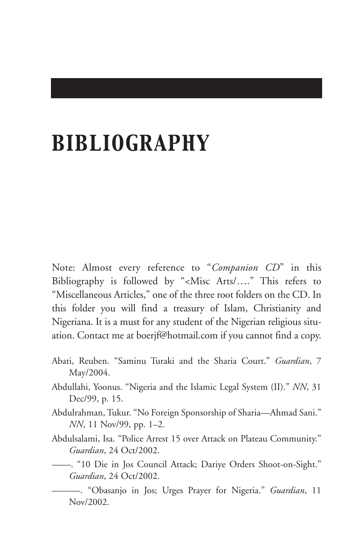## *BIBLIOGRAPHY*

Note: Almost every reference to "*Companion CD*" in this Bibliography is followed by "<Misc Arts/…." This refers to "Miscellaneous Articles," one of the three root folders on the CD. In this folder you will find a treasury of Islam, Christianity and Nigeriana. It is a must for any student of the Nigerian religious situation. Contact me at boerjf@hotmail.com if you cannot find a copy.

- Abati, Reuben. "Saminu Turaki and the Sharia Court." *Guardian*, 7 May/2004.
- Abdullahi, Yoonus. "Nigeria and the Islamic Legal System (II)." *NN*, 31 Dec/99, p. 15.
- Abdulrahman, Tukur. "No Foreign Sponsorship of Sharia—Ahmad Sani." *NN*, 11 Nov/99, pp. 1–2.
- Abdulsalami, Isa. "Police Arrest 15 over Attack on Plateau Community." *Guardian*, 24 Oct/2002.
- ——. "10 Die in Jos Council Attack; Dariye Orders Shoot-on-Sight." *Guardian*, 24 Oct/2002.
	- ———. "Obasanjo in Jos; Urges Prayer for Nigeria." *Guardian*, 11 Nov/2002.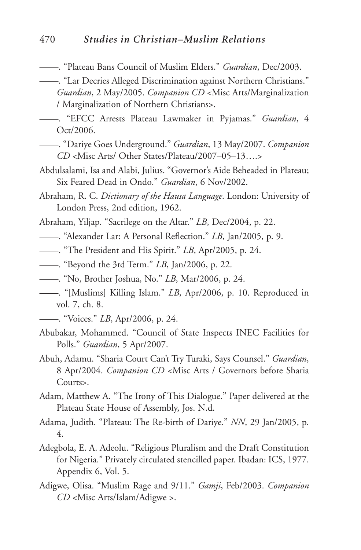- ——. "Plateau Bans Council of Muslim Elders." *Guardian*, Dec/2003.
- ——. "Lar Decries Alleged Discrimination against Northern Christians." *Guardian*, 2 May/2005. *Companion CD* <Misc Arts/Marginalization / Marginalization of Northern Christians>.
- ——. "EFCC Arrests Plateau Lawmaker in Pyjamas." *Guardian*, 4 Oct/2006.
- ——. "Dariye Goes Underground." *Guardian*, 13 May/2007. *Companion CD* <Misc Arts/ Other States/Plateau/2007–05–13….>
- Abdulsalami, Isa and Alabi, Julius. "Governor's Aide Beheaded in Plateau; Six Feared Dead in Ondo." *Guardian*, 6 Nov/2002.
- Abraham, R. C. *Dictionary of the Hausa Language*. London: University of London Press, 2nd edition, 1962.
- Abraham, Yiljap. "Sacrilege on the Altar." *LB*, Dec/2004, p. 22.
- ——. "Alexander Lar: A Personal Reflection." *LB*, Jan/2005, p. 9.
- ——. "The President and His Spirit." *LB*, Apr/2005, p. 24.
- ——. "Beyond the 3rd Term." *LB*, Jan/2006, p. 22.
- ——. "No, Brother Joshua, No." *LB*, Mar/2006, p. 24.
- ——. "[Muslims] Killing Islam." *LB*, Apr/2006, p. 10. Reproduced in vol. 7, ch. 8.
- ——. "Voices." *LB*, Apr/2006, p. 24.
- Abubakar, Mohammed. "Council of State Inspects INEC Facilities for Polls." *Guardian*, 5 Apr/2007.
- Abuh, Adamu. "Sharia Court Can't Try Turaki, Says Counsel." *Guardian*, 8 Apr/2004. *Companion CD* <Misc Arts / Governors before Sharia Courts>.
- Adam, Matthew A. "The Irony of This Dialogue." Paper delivered at the Plateau State House of Assembly, Jos. N.d.
- Adama, Judith. "Plateau: The Re-birth of Dariye." *NN*, 29 Jan/2005, p. 4.
- Adegbola, E. A. Adeolu. "Religious Pluralism and the Draft Constitution for Nigeria." Privately circulated stencilled paper. Ibadan: ICS, 1977. Appendix 6, Vol. 5.
- Adigwe, Olisa. "Muslim Rage and 9/11." *Gamji*, Feb/2003. *Companion CD* <Misc Arts/Islam/Adigwe >.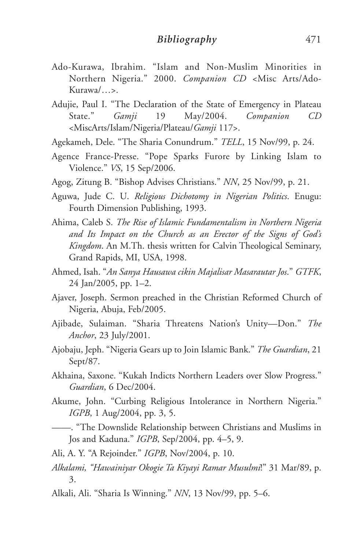- Ado-Kurawa, Ibrahim. "Islam and Non-Muslim Minorities in Northern Nigeria." 2000. *Companion CD* <Misc Arts/Ado-Kurawa/…>.
- Adujie, Paul I. "The Declaration of the State of Emergency in Plateau State." *Gamji* 19 May/2004. *Companion CD* <MiscArts/Islam/Nigeria/Plateau/*Gamji* 117>.
- Agekameh, Dele. "The Sharia Conundrum." *TELL*, 15 Nov/99, p. 24.
- Agence France-Presse. "Pope Sparks Furore by Linking Islam to Violence." *VS*, 15 Sep/2006.
- Agog, Zitung B. "Bishop Advises Christians." *NN*, 25 Nov/99, p. 21.
- Aguwa, Jude C. U. *Religious Dichotomy in Nigerian Politics*. Enugu: Fourth Dimension Publishing, 1993.
- Ahima, Caleb S. *The Rise of Islamic Fundamentalism in Northern Nigeria and Its Impact on the Church as an Erector of the Signs of God's Kingdom*. An M.Th. thesis written for Calvin Theological Seminary, Grand Rapids, MI, USA, 1998.
- Ahmed, Isah. "*An Sanya Hausawa cikin Majalisar Masarautar Jos*." *GTFK*, 24 Jan/2005, pp. 1–2.
- Ajaver, Joseph. Sermon preached in the Christian Reformed Church of Nigeria, Abuja, Feb/2005.
- Ajibade, Sulaiman. "Sharia Threatens Nation's Unity—Don." *The Anchor*, 23 July/2001.
- Ajobaju, Jeph. "Nigeria Gears up to Join Islamic Bank." *The Guardian*, 21 Sept/87.
- Akhaina, Saxone. "Kukah Indicts Northern Leaders over Slow Progress." *Guardian*, 6 Dec/2004.
- Akume, John. "Curbing Religious Intolerance in Northern Nigeria." *IGPB*, 1 Aug/2004, pp. 3, 5.
- ——. "The Downslide Relationship between Christians and Muslims in Jos and Kaduna." *IGPB*, Sep/2004, pp. 4–5, 9.

Ali, A. Y. "A Rejoinder." *IGPB*, Nov/2004, p. 10.

- *Alkalami, "Hawainiyar Okogie Ta Kiyayi Ramar Musulmi*!" 31 Mar/89, p. 3.
- Alkali, Ali. "Sharia Is Winning." *NN*, 13 Nov/99, pp. 5–6.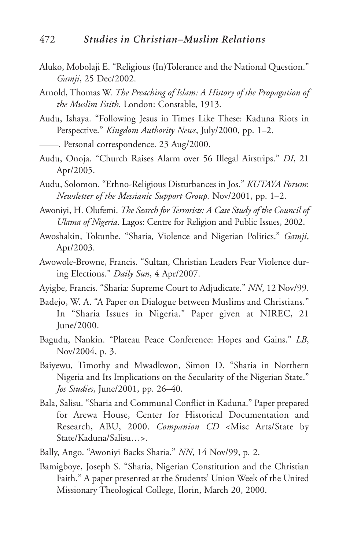- Aluko, Mobolaji E. "Religious (In)Tolerance and the National Question." *Gamji*, 25 Dec/2002.
- Arnold, Thomas W. *The Preaching of Islam: A History of the Propagation of the Muslim Faith*. London: Constable, 1913.
- Audu, Ishaya. "Following Jesus in Times Like These: Kaduna Riots in Perspective." *Kingdom Authority News*, July/2000, pp. 1–2.

——. Personal correspondence. 23 Aug/2000.

- Audu, Onoja. "Church Raises Alarm over 56 Illegal Airstrips." *DI*, 21 Apr/2005.
- Audu, Solomon. "Ethno-Religious Disturbances in Jos." *KUTAYA Forum*: *Newsletter of the Messianic Support Group.* Nov/2001, pp. 1–2.
- Awoniyi, H. Olufemi. *The Search for Terrorists: A Case Study of the Council of Ulama of Nigeria*. Lagos: Centre for Religion and Public Issues, 2002.
- Awoshakin, Tokunbe. "Sharia, Violence and Nigerian Politics." *Gamji*, Apr/2003.
- Awowole-Browne, Francis. "Sultan, Christian Leaders Fear Violence during Elections." *Daily Sun*, 4 Apr/2007.
- Ayigbe, Francis. "Sharia: Supreme Court to Adjudicate." *NN*, 12 Nov/99.
- Badejo, W. A. "A Paper on Dialogue between Muslims and Christians." In "Sharia Issues in Nigeria." Paper given at NIREC, 21 June/2000.
- Bagudu, Nankin. "Plateau Peace Conference: Hopes and Gains." *LB*, Nov/2004, p. 3.
- Baiyewu, Timothy and Mwadkwon, Simon D. "Sharia in Northern Nigeria and Its Implications on the Secularity of the Nigerian State." *Jos Studies*, June/2001, pp. 26–40.
- Bala, Salisu. "Sharia and Communal Conflict in Kaduna." Paper prepared for Arewa House, Center for Historical Documentation and Research, ABU, 2000. *Companion CD* <Misc Arts/State by State/Kaduna/Salisu…>.
- Bally, Ango. "Awoniyi Backs Sharia." *NN*, 14 Nov/99, p*.* 2.
- Bamigboye, Joseph S. "Sharia, Nigerian Constitution and the Christian Faith." A paper presented at the Students' Union Week of the United Missionary Theological College, Ilorin, March 20, 2000.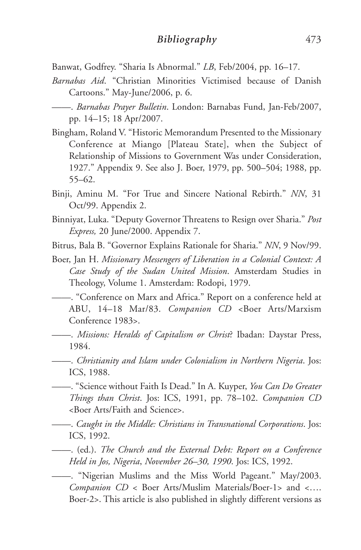- Banwat, Godfrey. "Sharia Is Abnormal." *LB*, Feb/2004, pp. 16–17.
- *Barnabas Aid*. "Christian Minorities Victimised because of Danish Cartoons." May-June/2006, p. 6.
- ——. *Barnabas Prayer Bulletin*. London: Barnabas Fund, Jan-Feb/2007, pp. 14–15; 18 Apr/2007.
- Bingham, Roland V. "Historic Memorandum Presented to the Missionary Conference at Miango [Plateau State], when the Subject of Relationship of Missions to Government Was under Consideration, 1927." Appendix 9. See also J. Boer, 1979, pp. 500–504; 1988, pp. 55–62.
- Binji, Aminu M. "For True and Sincere National Rebirth." *NN*, 31 Oct/99. Appendix 2.
- Binniyat, Luka. "Deputy Governor Threatens to Resign over Sharia." *Post Express,* 20 June/2000. Appendix 7.
- Bitrus, Bala B. "Governor Explains Rationale for Sharia." *NN*, 9 Nov/99.
- Boer, Jan H. *Missionary Messengers of Liberation in a Colonial Context: A Case Study of the Sudan United Mission*. Amsterdam Studies in Theology, Volume 1. Amsterdam: Rodopi, 1979.
- ——. "Conference on Marx and Africa." Report on a conference held at ABU, 14–18 Mar/83. *Companion CD* <Boer Arts/Marxism Conference 1983>.
- ——. *Missions: Heralds of Capitalism or Christ*? Ibadan: Daystar Press, 1984.
- ——. *Christianity and Islam under Colonialism in Northern Nigeria*. Jos: ICS, 1988.
- ——. "Science without Faith Is Dead." In A. Kuyper, *You Can Do Greater Things than Christ*. Jos: ICS, 1991, pp. 78–102. *Companion CD* <Boer Arts/Faith and Science>.
- ——. *Caught in the Middle: Christians in Transnational Corporations*. Jos: ICS, 1992.
- ——. (ed.). *The Church and the External Debt: Report on a Conference Held in Jos, Nigeria*, *November 26–30, 1990*. Jos: ICS, 1992.
- ——. "Nigerian Muslims and the Miss World Pageant." May/2003. *Companion CD* < Boer Arts/Muslim Materials/Boer-1> and <…. Boer-2>. This article is also published in slightly different versions as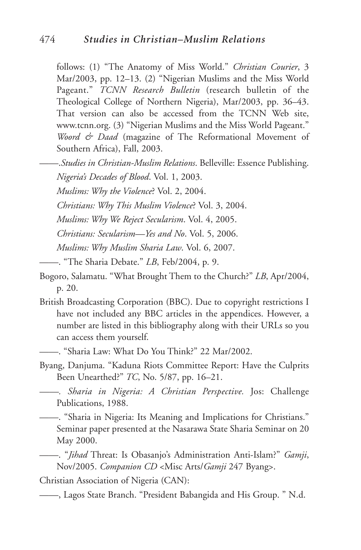follows: (1) "The Anatomy of Miss World." *Christian Courier*, 3 Mar/2003, pp. 12–13. (2) "Nigerian Muslims and the Miss World Pageant." *TCNN Research Bulletin* (research bulletin of the Theological College of Northern Nigeria), Mar/2003, pp. 36–43. That version can also be accessed from the TCNN Web site, www.tcnn.org. (3) "Nigerian Muslims and the Miss World Pageant." *Woord & Daad* (magazine of The Reformational Movement of Southern Africa), Fall, 2003.

——.*Studies in Christian-Muslim Relations*. Belleville: Essence Publishing.

*Nigeria's Decades of Blood*. Vol. 1, 2003.

*Muslims: Why the Violence*? Vol. 2, 2004.

*Christians: Why This Muslim Violence*? Vol. 3, 2004.

*Muslims: Why We Reject Secularism*. Vol. 4, 2005.

*Christians: Secularism—Yes and No*. Vol. 5, 2006.

*Muslims: Why Muslim Sharia Law*. Vol. 6, 2007.

——. "The Sharia Debate." *LB*, Feb/2004, p. 9.

- Bogoro, Salamatu. "What Brought Them to the Church?" *LB*, Apr/2004, p. 20.
- British Broadcasting Corporation (BBC). Due to copyright restrictions I have not included any BBC articles in the appendices. However, a number are listed in this bibliography along with their URLs so you can access them yourself.

——. "Sharia Law: What Do You Think?" 22 Mar/2002.

Byang, Danjuma. "Kaduna Riots Committee Report: Have the Culprits Been Unearthed?" *TC*, No. 5/87, pp. 16–21.

*——. Sharia in Nigeria: A Christian Perspective.* Jos: Challenge Publications, 1988.

——. "Sharia in Nigeria: Its Meaning and Implications for Christians." Seminar paper presented at the Nasarawa State Sharia Seminar on 20 May 2000.

——. "*Jihad* Threat: Is Obasanjo's Administration Anti-Islam?" *Gamji*, Nov/2005. *Companion CD* <Misc Arts/*Gamji* 247 Byang>.

Christian Association of Nigeria (CAN):

<sup>——,</sup> Lagos State Branch. "President Babangida and His Group. " N.d.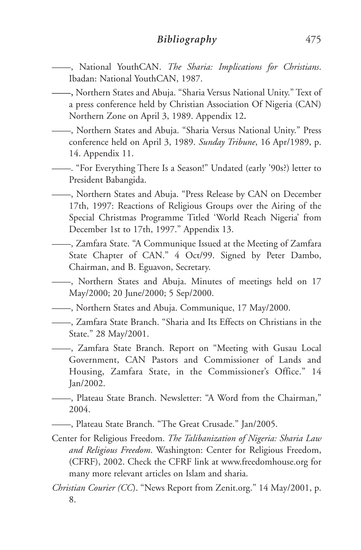- ——, National YouthCAN. *The Sharia: Implications for Christians*. Ibadan: National YouthCAN, 1987.
- **——,** Northern States and Abuja. "Sharia Versus National Unity." Text of a press conference held by Christian Association Of Nigeria (CAN) Northern Zone on April 3, 1989. Appendix 12**.**
- ——, Northern States and Abuja. "Sharia Versus National Unity." Press conference held on April 3, 1989. *Sunday Tribune*, 16 Apr/1989, p. 14. Appendix 11.
- ——. "For Everything There Is a Season!" Undated (early '90s?) letter to President Babangida.
- ——, Northern States and Abuja. "Press Release by CAN on December 17th, 1997: Reactions of Religious Groups over the Airing of the Special Christmas Programme Titled 'World Reach Nigeria' from December 1st to 17th, 1997." Appendix 13.
- ——, Zamfara State. "A Communique Issued at the Meeting of Zamfara State Chapter of CAN." 4 Oct/99. Signed by Peter Dambo, Chairman, and B. Eguavon, Secretary.
- ——, Northern States and Abuja. Minutes of meetings held on 17 May/2000; 20 June/2000; 5 Sep/2000.
	- ——, Northern States and Abuja. Communique, 17 May/2000.
- ——, Zamfara State Branch. "Sharia and Its Effects on Christians in the State." 28 May/2001.
- ——, Zamfara State Branch. Report on "Meeting with Gusau Local Government, CAN Pastors and Commissioner of Lands and Housing, Zamfara State, in the Commissioner's Office." 14 Jan/2002.
- ——, Plateau State Branch. Newsletter: "A Word from the Chairman," 2004.
- ——, Plateau State Branch. "The Great Crusade." Jan/2005.
- Center for Religious Freedom. *The Talibanization of Nigeria: Sharia Law and Religious Freedom*. Washington: Center for Religious Freedom, (CFRF), 2002. Check the CFRF link at www.freedomhouse.org for many more relevant articles on Islam and sharia.
- *Christian Courier (CC*). "News Report from Zenit.org." 14 May/2001, p. 8.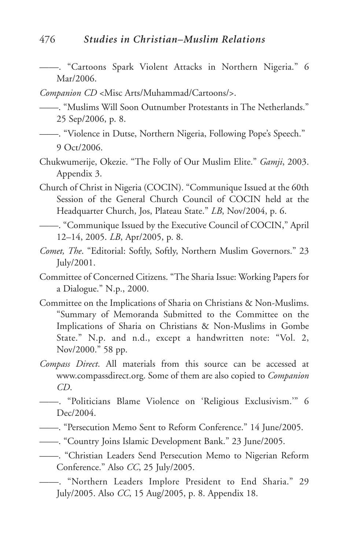——. "Cartoons Spark Violent Attacks in Northern Nigeria." 6 Mar/2006.

*Companion CD* <Misc Arts/Muhammad/Cartoons/>.

——. "Muslims Will Soon Outnumber Protestants in The Netherlands." 25 Sep/2006, p. 8.

- ——. "Violence in Dutse, Northern Nigeria, Following Pope's Speech." 9 Oct/2006.
- Chukwumerije, Okezie. "The Folly of Our Muslim Elite." *Gamji*, 2003. Appendix 3.
- Church of Christ in Nigeria (COCIN). "Communique Issued at the 60th Session of the General Church Council of COCIN held at the Headquarter Church, Jos, Plateau State." *LB*, Nov/2004, p. 6.
- ——. "Communique Issued by the Executive Council of COCIN," April 12–14, 2005. *LB*, Apr/2005, p. 8.
- *Comet, The*. "Editorial: Softly, Softly, Northern Muslim Governors." 23 July/2001.
- Committee of Concerned Citizens. "The Sharia Issue: Working Papers for a Dialogue." N.p., 2000.
- Committee on the Implications of Sharia on Christians & Non-Muslims. "Summary of Memoranda Submitted to the Committee on the Implications of Sharia on Christians & Non-Muslims in Gombe State." N.p. and n.d., except a handwritten note: "Vol. 2, Nov/2000." 58 pp.
- *Compass Direct*. All materials from this source can be accessed at www.compassdirect.org. Some of them are also copied to *Companion CD*.
- ——. "Politicians Blame Violence on 'Religious Exclusivism.'" 6 Dec/2004.
- ——. "Persecution Memo Sent to Reform Conference." 14 June/2005.
- ——. "Country Joins Islamic Development Bank." 23 June/2005.
- ——. "Christian Leaders Send Persecution Memo to Nigerian Reform Conference." Also *CC*, 25 July/2005.
- ——. "Northern Leaders Implore President to End Sharia." 29 July/2005. Also *CC*, 15 Aug/2005, p. 8. Appendix 18.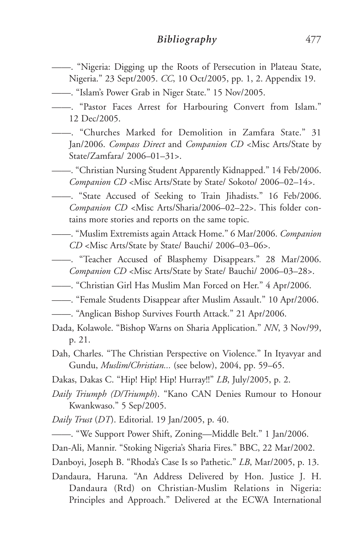- ——. "Nigeria: Digging up the Roots of Persecution in Plateau State, Nigeria." 23 Sept/2005. *CC*, 10 Oct/2005, pp. 1, 2. Appendix 19.
	-
- ——. "Islam's Power Grab in Niger State." 15 Nov/2005.
- ——. "Pastor Faces Arrest for Harbouring Convert from Islam." 12 Dec/2005.
- ——. "Churches Marked for Demolition in Zamfara State." 31 Jan/2006. *Compass Direct* and *Companion CD* <Misc Arts/State by State/Zamfara/ 2006–01–31>.
- ——. "Christian Nursing Student Apparently Kidnapped." 14 Feb/2006. *Companion CD* <Misc Arts/State by State/ Sokoto/ 2006–02–14>.
	- ——. "State Accused of Seeking to Train Jihadists." 16 Feb/2006. *Companion CD* <Misc Arts/Sharia/2006–02–22>. This folder contains more stories and reports on the same topic.
- ——. "Muslim Extremists again Attack Home." 6 Mar/2006. *Companion CD* <Misc Arts/State by State/ Bauchi/ 2006–03–06>.
- ——. "Teacher Accused of Blasphemy Disappears." 28 Mar/2006. *Companion CD* <Misc Arts/State by State/ Bauchi/ 2006–03–28>.
- ——. "Christian Girl Has Muslim Man Forced on Her." 4 Apr/2006.
- ——. "Female Students Disappear after Muslim Assault." 10 Apr/2006.
- ——. "Anglican Bishop Survives Fourth Attack." 21 Apr/2006.
- Dada, Kolawole. "Bishop Warns on Sharia Application." *NN*, 3 Nov/99, p. 21.
- Dah, Charles. "The Christian Perspective on Violence." In Ityavyar and Gundu, *Muslim/Christian...* (see below), 2004, pp. 59–65.
- Dakas, Dakas C. "Hip! Hip! Hip! Hurray!!" *LB*, July/2005, p. 2.
- *Daily Triumph (D/Triumph*). "Kano CAN Denies Rumour to Honour Kwankwaso." 5 Sep/2005.
- *Daily Trust* (*DT*). Editorial. 19 Jan/2005, p. 40.
- ——. "We Support Power Shift, Zoning—Middle Belt." 1 Jan/2006.
- Dan-Ali, Mannir. "Stoking Nigeria's Sharia Fires." BBC, 22 Mar/2002.
- Danboyi, Joseph B. "Rhoda's Case Is so Pathetic." *LB*, Mar/2005, p. 13.
- Dandaura, Haruna. "An Address Delivered by Hon. Justice J. H. Dandaura (Rtd) on Christian-Muslim Relations in Nigeria: Principles and Approach." Delivered at the ECWA International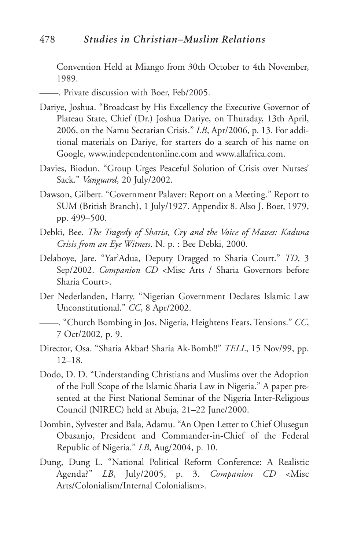Convention Held at Miango from 30th October to 4th November, 1989.

- ——. Private discussion with Boer, Feb/2005.
- Dariye, Joshua. "Broadcast by His Excellency the Executive Governor of Plateau State, Chief (Dr.) Joshua Dariye, on Thursday, 13th April, 2006, on the Namu Sectarian Crisis." *LB*, Apr/2006, p. 13. For additional materials on Dariye, for starters do a search of his name on Google, www.independentonline.com and www.allafrica.com.
- Davies, Biodun. "Group Urges Peaceful Solution of Crisis over Nurses' Sack." *Vanguard*, 20 July/2002.
- Dawson, Gilbert. "Government Palaver: Report on a Meeting." Report to SUM (British Branch), 1 July/1927. Appendix 8. Also J. Boer, 1979, pp. 499–500.
- Debki, Bee. *The Tragedy of Sharia, Cry and the Voice of Masses: Kaduna Crisis from an Eye Witness*. N. p. : Bee Debki, 2000.
- Delaboye, Jare. "Yar'Adua, Deputy Dragged to Sharia Court." *TD*, 3 Sep/2002. *Companion CD* <Misc Arts / Sharia Governors before Sharia Court>.
- Der Nederlanden, Harry. "Nigerian Government Declares Islamic Law Unconstitutional." *CC*, 8 Apr/2002.
- ——. "Church Bombing in Jos, Nigeria, Heightens Fears, Tensions." *CC*, 7 Oct/2002, p. 9.
- Director, Osa. "Sharia Akbar! Sharia Ak-Bomb!!" *TELL*, 15 Nov/99, pp. 12–18.
- Dodo, D. D. "Understanding Christians and Muslims over the Adoption of the Full Scope of the Islamic Sharia Law in Nigeria." A paper presented at the First National Seminar of the Nigeria Inter-Religious Council (NIREC) held at Abuja, 21–22 June/2000.
- Dombin, Sylvester and Bala, Adamu. "An Open Letter to Chief Olusegun Obasanjo, President and Commander-in-Chief of the Federal Republic of Nigeria." *LB*, Aug/2004, p. 10.
- Dung, Dung L. "National Political Reform Conference: A Realistic Agenda?" *LB*, July/2005, p. 3. *Companion CD* <Misc Arts/Colonialism/Internal Colonialism>.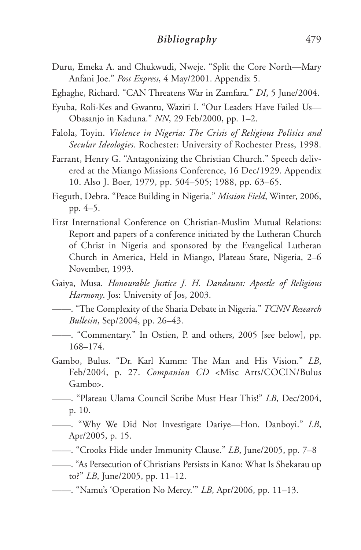- Duru, Emeka A. and Chukwudi, Nweje. "Split the Core North—Mary Anfani Joe." *Post Express*, 4 May/2001. Appendix 5.
- Eghaghe, Richard. "CAN Threatens War in Zamfara." *DI*, 5 June/2004.
- Eyuba, Roli-Kes and Gwantu, Waziri I. "Our Leaders Have Failed Us— Obasanjo in Kaduna." *NN*, 29 Feb/2000, pp. 1–2.
- Falola, Toyin. *Violence in Nigeria: The Crisis of Religious Politics and Secular Ideologies*. Rochester: University of Rochester Press, 1998.
- Farrant, Henry G. "Antagonizing the Christian Church." Speech delivered at the Miango Missions Conference, 16 Dec/1929. Appendix 10. Also J. Boer, 1979, pp. 504–505; 1988, pp. 63–65.
- Fieguth, Debra. "Peace Building in Nigeria." *Mission Field*, Winter, 2006, pp. 4–5.
- First International Conference on Christian-Muslim Mutual Relations: Report and papers of a conference initiated by the Lutheran Church of Christ in Nigeria and sponsored by the Evangelical Lutheran Church in America, Held in Miango, Plateau State, Nigeria, 2–6 November, 1993.
- Gaiya, Musa. *Honourable Justice J. H. Dandaura: Apostle of Religious Harmony*. Jos: University of Jos, 2003.
- ——. "The Complexity of the Sharia Debate in Nigeria." *TCNN Research Bulletin*, Sep/2004, pp. 26–43.
- ——. "Commentary." In Ostien, P. and others, 2005 [see below], pp. 168–174.
- Gambo, Bulus. "Dr. Karl Kumm: The Man and His Vision." *LB*, Feb/2004, p. 27. *Companion CD* <Misc Arts/COCIN/Bulus Gambo>.
- ——. "Plateau Ulama Council Scribe Must Hear This!" *LB*, Dec/2004, p. 10.
- ——. "Why We Did Not Investigate Dariye—Hon. Danboyi." *LB*, Apr/2005, p. 15.
- ——. "Crooks Hide under Immunity Clause." *LB*, June/2005, pp. 7–8
- ——. "As Persecution of Christians Persists in Kano: What Is Shekarau up to?" *LB*, June/2005, pp. 11–12.
- ——. "Namu's 'Operation No Mercy.'" *LB*, Apr/2006, pp. 11–13.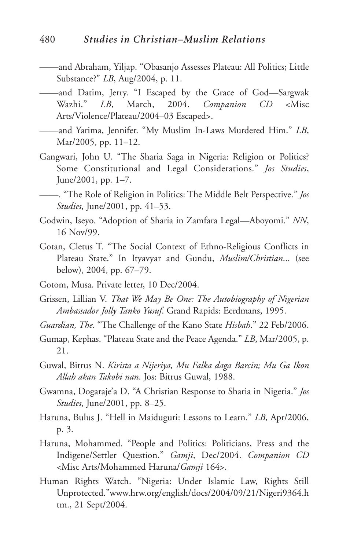- ——and Abraham, Yiljap. "Obasanjo Assesses Plateau: All Politics; Little Substance?" *LB*, Aug/2004, p. 11.
- ——and Datim, Jerry. "I Escaped by the Grace of God—Sargwak Wazhi." *LB*, March, 2004. *Companion CD* <Misc Arts/Violence/Plateau/2004–03 Escaped>.
- ——and Yarima, Jennifer. "My Muslim In-Laws Murdered Him." *LB*, Mar/2005, pp. 11–12.
- Gangwari, John U. "The Sharia Saga in Nigeria: Religion or Politics? Some Constitutional and Legal Considerations." *Jos Studies*, June/2001, pp. 1–7.
- ——. "The Role of Religion in Politics: The Middle Belt Perspective." *Jos Studies*, June/2001, pp. 41–53.
- Godwin, Iseyo. "Adoption of Sharia in Zamfara Legal—Aboyomi." *NN*, 16 Nov/99.
- Gotan, Cletus T. "The Social Context of Ethno-Religious Conflicts in Plateau State." In Ityavyar and Gundu, *Muslim/Christian*... (see below), 2004, pp. 67–79.
- Gotom, Musa. Private letter, 10 Dec/2004.
- Grissen, Lillian V. *That We May Be One: The Autobiography of Nigerian Ambassador Jolly Tanko Yusuf*. Grand Rapids: Eerdmans, 1995.
- *Guardian, The*. "The Challenge of the Kano State *Hisbah*." 22 Feb/2006.
- Gumap, Kephas. "Plateau State and the Peace Agenda." *LB*, Mar/2005, p. 21.
- Guwal, Bitrus N. *Kirista a Nijeriya, Mu Falka daga Barcin; Mu Ga Ikon Allah akan Takobi nan*. Jos: Bitrus Guwal, 1988.
- Gwamna, Dogaraje'a D. "A Christian Response to Sharia in Nigeria." *Jos Studies*, June/2001, pp. 8–25.
- Haruna, Bulus J. "Hell in Maiduguri: Lessons to Learn." *LB*, Apr/2006, p. 3.
- Haruna, Mohammed. "People and Politics: Politicians, Press and the Indigene/Settler Question." *Gamji*, Dec/2004. *Companion CD* <Misc Arts/Mohammed Haruna/*Gamji* 164>.
- Human Rights Watch. "Nigeria: Under Islamic Law, Rights Still Unprotected."www.hrw.org/english/docs/2004/09/21/Nigeri9364.h tm., 21 Sept/2004.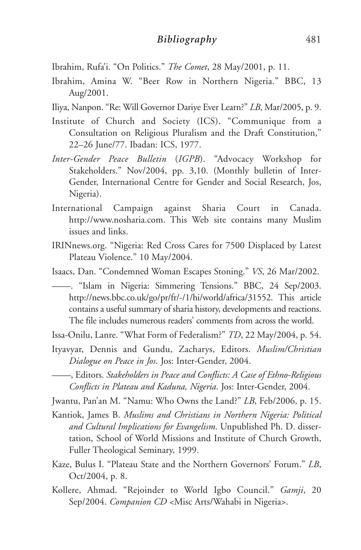- Ibrahim, Rufa'i. "On Politics." *The Comet*, 28 May/2001, p. 11.
- Ibrahim, Amina W. "Beer Row in Northern Nigeria." BBC, 13 Aug/2001.
- Iliya, Nanpon. "Re: Will Governor Dariye Ever Learn?" *LB*, Mar/2005, p. 9.
- Institute of Church and Society (ICS). "Communique from a Consultation on Religious Pluralism and the Draft Constitution," 22–26 June/77. Ibadan: ICS, 1977.
- *Inter-Gender Peace Bulletin* (*IGPB*). "Advocacy Workshop for Stakeholders." Nov/2004, pp. 3,10. (Monthly bulletin of Inter-Gender, International Centre for Gender and Social Research, Jos, Nigeria).
- International Campaign against Sharia Court in Canada. http://www.nosharia.com. This Web site contains many Muslim issues and links.
- IRINnews.org. "Nigeria: Red Cross Cares for 7500 Displaced by Latest Plateau Violence." 10 May/2004.
- Isaacs, Dan. "Condemned Woman Escapes Stoning." *VS*, 26 Mar/2002.

——. "Islam in Nigeria: Simmering Tensions." BBC, 24 Sep/2003. http://news.bbc.co.uk/go/pr/fr/-/1/hi/world/africa/31552. This article contains a useful summary of sharia history, developments and reactions. The file includes numerous readers' comments from across the world.

Issa-Onilu, Lanre. "What Form of Federalism?" *TD*, 22 May/2004, p. 54.

- Ityavyar, Dennis and Gundu, Zacharys, Editors. *Muslim/Christian Dialogue on Peace in Jos*. Jos: Inter-Gender, 2004.
- ——, Editors. *Stakeholders in Peace and Conflicts: A Case of Ethno-Religious Conflicts in Plateau and Kaduna, Nigeria*. Jos: Inter-Gender, 2004.

Jwantu, Pan'an M. "Namu: Who Owns the Land?" *LB*, Feb/2006, p. 15.

- Kantiok, James B. *Muslims and Christians in Northern Nigeria: Political and Cultural Implications for Evangelism*. Unpublished Ph. D. dissertation, School of World Missions and Institute of Church Growth, Fuller Theological Seminary, 1999.
- Kaze, Bulus I. "Plateau State and the Northern Governors' Forum." *LB*, Oct/2004, p. 8.
- Kollere, Ahmad. "Rejoinder to World Igbo Council." *Gamji*, 20 Sep/2004. *Companion CD* <Misc Arts/Wahabi in Nigeria>.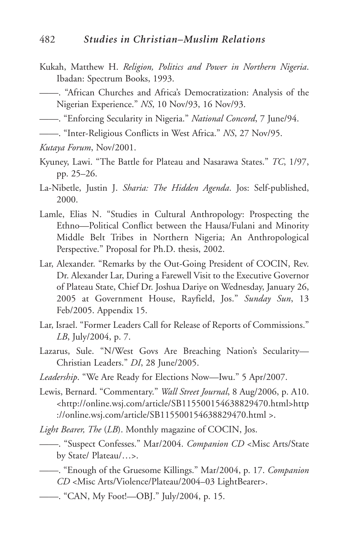- Kukah, Matthew H. *Religion, Politics and Power in Northern Nigeria*. Ibadan: Spectrum Books, 1993.
- ——. "African Churches and Africa's Democratization: Analysis of the Nigerian Experience." *NS*, 10 Nov/93, 16 Nov/93.

——. "Enforcing Secularity in Nigeria." *National Concord*, 7 June/94.

- ——. "Inter-Religious Conflicts in West Africa." *NS*, 27 Nov/95.
- *Kutaya Forum*, Nov/2001.
- Kyuney, Lawi. "The Battle for Plateau and Nasarawa States." *TC*, 1/97, pp. 25–26.
- La-Nibetle, Justin J. *Sharia: The Hidden Agenda*. Jos: Self-published, 2000.
- Lamle, Elias N. "Studies in Cultural Anthropology: Prospecting the Ethno—Political Conflict between the Hausa/Fulani and Minority Middle Belt Tribes in Northern Nigeria; An Anthropological Perspective." Proposal for Ph.D. thesis, 2002.
- Lar, Alexander. "Remarks by the Out-Going President of COCIN, Rev. Dr. Alexander Lar, During a Farewell Visit to the Executive Governor of Plateau State, Chief Dr. Joshua Dariye on Wednesday, January 26, 2005 at Government House, Rayfield, Jos." *Sunday Sun*, 13 Feb/2005. Appendix 15.
- Lar, Israel. "Former Leaders Call for Release of Reports of Commissions." *LB*, July/2004, p. 7.
- Lazarus, Sule. "N/West Govs Are Breaching Nation's Secularity— Christian Leaders." *DI*, 28 June/2005.
- *Leadership*. "We Are Ready for Elections Now—Iwu." 5 Apr/2007.
- Lewis, Bernard. "Commentary." *Wall Street Journal*, 8 Aug/2006, p. A10. <http://online.wsj.com/article/SB115500154638829470.html>http ://online.wsj.com/article/SB115500154638829470.html >.
- *Light Bearer, The* (*LB*). Monthly magazine of COCIN, Jos.
- ——. "Suspect Confesses." Mar/2004. *Companion CD* <Misc Arts/State by State/ Plateau/…>.
- ——. "Enough of the Gruesome Killings." Mar/2004, p. 17. *Companion CD* <Misc Arts/Violence/Plateau/2004–03 LightBearer>.
- ——. "CAN, My Foot!—OBJ." July/2004, p. 15.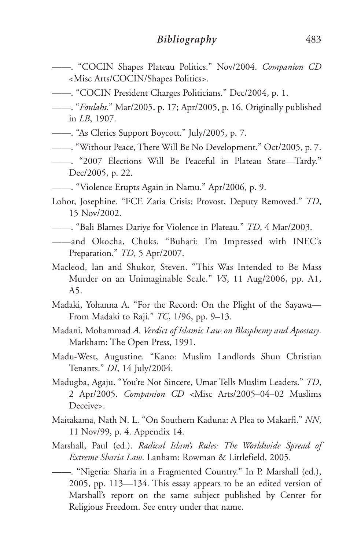- ——. "COCIN Shapes Plateau Politics." Nov/2004. *Companion CD* <Misc Arts/COCIN/Shapes Politics>.
- ——. "COCIN President Charges Politicians." Dec/2004, p. 1.
- ——. "*Foulahs*." Mar/2005, p. 17; Apr/2005, p. 16. Originally published in *LB*, 1907.
- ——. "As Clerics Support Boycott." July/2005, p. 7.
- ——. "Without Peace, There Will Be No Development." Oct/2005, p. 7.
- ——. "2007 Elections Will Be Peaceful in Plateau State—Tardy." Dec/2005, p. 22.
- ——. "Violence Erupts Again in Namu." Apr/2006, p. 9.
- Lohor, Josephine. "FCE Zaria Crisis: Provost, Deputy Removed." *TD*, 15 Nov/2002.
- ——. "Bali Blames Dariye for Violence in Plateau." *TD*, 4 Mar/2003.
- ——and Okocha, Chuks. "Buhari: I'm Impressed with INEC's Preparation." *TD*, 5 Apr/2007.
- Macleod, Ian and Shukor, Steven. "This Was Intended to Be Mass Murder on an Unimaginable Scale." *VS*, 11 Aug/2006, pp. A1, A5.
- Madaki, Yohanna A. "For the Record: On the Plight of the Sayawa— From Madaki to Raji." *TC*, 1/96, pp. 9–13.
- Madani, Mohammad *A. Verdict of Islamic Law on Blasphemy and Apostasy*. Markham: The Open Press, 1991.
- Madu-West, Augustine. "Kano: Muslim Landlords Shun Christian Tenants." *DI*, 14 July/2004.
- Madugba, Agaju. "You're Not Sincere, Umar Tells Muslim Leaders." *TD*, 2 Apr/2005. *Companion CD* <Misc Arts/2005–04–02 Muslims Deceive>.
- Maitakama, Nath N. L. "On Southern Kaduna: A Plea to Makarfi." *NN*, 11 Nov/99, p. 4. Appendix 14.
- Marshall, Paul (ed.). *Radical Islam's Rules: The Worldwide Spread of Extreme Sharia Law*. Lanham: Rowman & Littlefield, 2005.
- ——. "Nigeria: Sharia in a Fragmented Country." In P. Marshall (ed.), 2005, pp. 113—134. This essay appears to be an edited version of Marshall's report on the same subject published by Center for Religious Freedom. See entry under that name.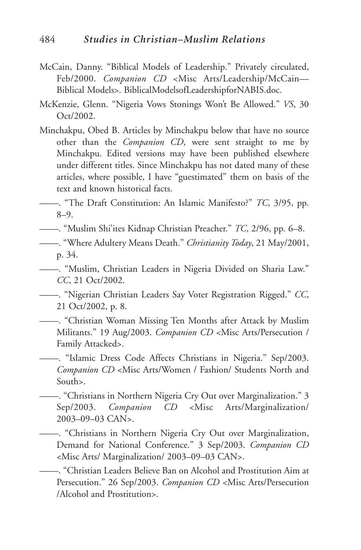- McCain, Danny. "Biblical Models of Leadership." Privately circulated, Feb/2000. *Companion CD* <Misc Arts/Leadership/McCain— Biblical Models>. BiblicalModelsofLeadershipforNABIS.doc.
- McKenzie, Glenn. "Nigeria Vows Stonings Won't Be Allowed." *VS*, 30 Oct/2002.
- Minchakpu, Obed B. Articles by Minchakpu below that have no source other than the *Companion CD*, were sent straight to me by Minchakpu. Edited versions may have been published elsewhere under different titles. Since Minchakpu has not dated many of these articles, where possible, I have "guestimated" them on basis of the text and known historical facts.
- ——. "The Draft Constitution: An Islamic Manifesto?" *TC*, 3/95, pp. 8–9.
- ——. "Muslim Shi'ites Kidnap Christian Preacher." *TC*, 2/96, pp. 6–8.
- ——. "Where Adultery Means Death." *Christianity Today*, 21 May/2001, p. 34.
- ——. "Muslim, Christian Leaders in Nigeria Divided on Sharia Law." *CC*, 21 Oct/2002.
- ——. "Nigerian Christian Leaders Say Voter Registration Rigged." *CC*, 21 Oct/2002, p. 8.
- ——. "Christian Woman Missing Ten Months after Attack by Muslim Militants." 19 Aug/2003. *Companion CD* <Misc Arts/Persecution / Family Attacked>.
- ——. "Islamic Dress Code Affects Christians in Nigeria." Sep/2003. *Companion CD* <Misc Arts/Women / Fashion/ Students North and South>.
	- ——. "Christians in Northern Nigeria Cry Out over Marginalization." 3 Sep/2003. *Companion CD* <Misc Arts/Marginalization/ 2003–09–03 CAN>.
- ——. "Christians in Northern Nigeria Cry Out over Marginalization, Demand for National Conference." 3 Sep/2003. *Companion CD* <Misc Arts/ Marginalization/ 2003–09–03 CAN>.
- ——. "Christian Leaders Believe Ban on Alcohol and Prostitution Aim at Persecution." 26 Sep/2003. *Companion CD* <Misc Arts/Persecution /Alcohol and Prostitution>.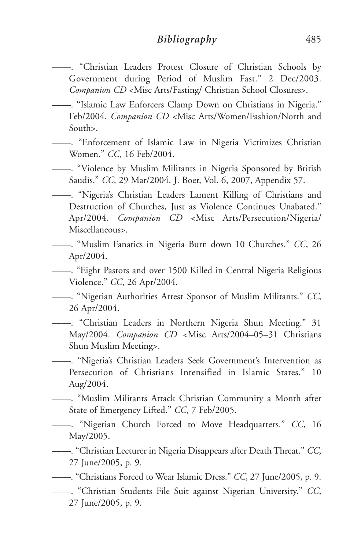## *Bibliography* 485

- ——. "Christian Leaders Protest Closure of Christian Schools by Government during Period of Muslim Fast." 2 Dec/2003. *Companion CD* <Misc Arts/Fasting/ Christian School Closures>.
- ——. "Islamic Law Enforcers Clamp Down on Christians in Nigeria." Feb/2004. *Companion CD* <Misc Arts/Women/Fashion/North and South>.
- ——. "Enforcement of Islamic Law in Nigeria Victimizes Christian Women." *CC*, 16 Feb/2004.
- ——. "Violence by Muslim Militants in Nigeria Sponsored by British Saudis." *CC*, 29 Mar/2004. J. Boer, Vol. 6, 2007, Appendix 57.
- ——. "Nigeria's Christian Leaders Lament Killing of Christians and Destruction of Churches, Just as Violence Continues Unabated." Apr/2004. *Companion CD* <Misc Arts/Persecution/Nigeria/ Miscellaneous>.
- ——. "Muslim Fanatics in Nigeria Burn down 10 Churches." *CC*, 26 Apr/2004.

——. "Eight Pastors and over 1500 Killed in Central Nigeria Religious Violence." *CC*, 26 Apr/2004.

- ——. "Nigerian Authorities Arrest Sponsor of Muslim Militants." *CC*, 26 Apr/2004.
- ——. "Christian Leaders in Northern Nigeria Shun Meeting." 31 May/2004. *Companion CD* <Misc Arts/2004–05–31 Christians Shun Muslim Meeting>.
- ——. "Nigeria's Christian Leaders Seek Government's Intervention as Persecution of Christians Intensified in Islamic States." 10 Aug/2004.

——. "Muslim Militants Attack Christian Community a Month after State of Emergency Lifted." *CC*, 7 Feb/2005.

——. "Nigerian Church Forced to Move Headquarters." *CC*, 16 May/2005.

——. "Christian Lecturer in Nigeria Disappears after Death Threat." *CC*, 27 June/2005, p. 9.

——. "Christians Forced to Wear Islamic Dress." *CC*, 27 June/2005, p. 9.

——. "Christian Students File Suit against Nigerian University." *CC*, 27 June/2005, p. 9.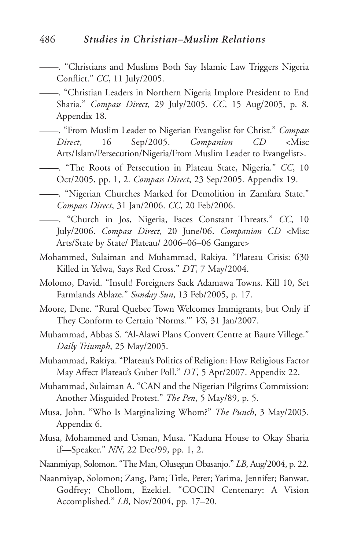## 486 *Studies in Christian–Muslim Relations*

- ——. "Christians and Muslims Both Say Islamic Law Triggers Nigeria Conflict." *CC*, 11 July/2005.
- ——. "Christian Leaders in Northern Nigeria Implore President to End Sharia." *Compass Direct*, 29 July/2005. *CC*, 15 Aug/2005, p. 8. Appendix 18.
- ——. "From Muslim Leader to Nigerian Evangelist for Christ." *Compass Direct*, 16 Sep/2005. *Companion CD* <Misc Arts/Islam/Persecution/Nigeria/From Muslim Leader to Evangelist>.
- ——. "The Roots of Persecution in Plateau State, Nigeria." *CC*, 10 Oct/2005, pp. 1, 2. *Compass Direct*, 23 Sep/2005. Appendix 19.
- ——. "Nigerian Churches Marked for Demolition in Zamfara State." *Compass Direct*, 31 Jan/2006. *CC*, 20 Feb/2006.
- ——. "Church in Jos, Nigeria, Faces Constant Threats." *CC*, 10 July/2006. *Compass Direct*, 20 June/06. *Companion CD* <Misc Arts/State by State/ Plateau/ 2006–06–06 Gangare>
- Mohammed, Sulaiman and Muhammad, Rakiya. "Plateau Crisis: 630 Killed in Yelwa, Says Red Cross." *DT*, 7 May/2004.
- Molomo, David. "Insult! Foreigners Sack Adamawa Towns. Kill 10, Set Farmlands Ablaze." *Sunday Sun*, 13 Feb/2005, p. 17.
- Moore, Dene. "Rural Quebec Town Welcomes Immigrants, but Only if They Conform to Certain 'Norms.'" *VS*, 31 Jan/2007.
- Muhammad, Abbas S. "Al-Alawi Plans Convert Centre at Baure Villege." *Daily Triumph*, 25 May/2005.
- Muhammad, Rakiya. "Plateau's Politics of Religion: How Religious Factor May Affect Plateau's Guber Poll." *DT*, 5 Apr/2007. Appendix 22.
- Muhammad, Sulaiman A. "CAN and the Nigerian Pilgrims Commission: Another Misguided Protest." *The Pen*, 5 May/89, p. 5.
- Musa, John. "Who Is Marginalizing Whom?" *The Punch*, 3 May/2005. Appendix 6.
- Musa, Mohammed and Usman, Musa. "Kaduna House to Okay Sharia if—Speaker." *NN*, 22 Dec/99, pp. 1, 2.
- Naanmiyap, Solomon. "The Man, Olusegun Obasanjo." *LB*, Aug/2004, p. 22.
- Naanmiyap, Solomon; Zang, Pam; Title, Peter; Yarima, Jennifer; Banwat, Godfrey; Chollom, Ezekiel. "COCIN Centenary: A Vision Accomplished." *LB*, Nov/2004, pp. 17–20.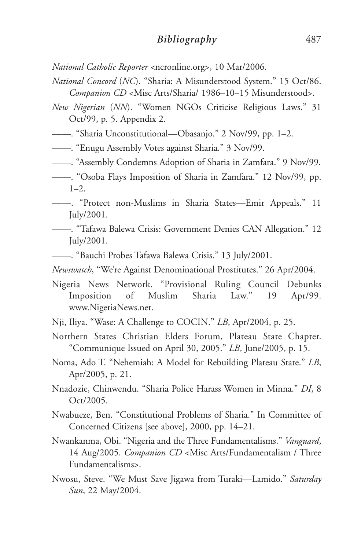*National Catholic Reporter* <ncronline.org>, 10 Mar/2006.

- *National Concord* (*NC*). "Sharia: A Misunderstood System." 15 Oct/86. *Companion CD* <Misc Arts/Sharia/ 1986–10–15 Misunderstood>.
- *New Nigerian* (*NN*). "Women NGOs Criticise Religious Laws." 31 Oct/99, p. 5. Appendix 2.
- ——. "Sharia Unconstitutional—Obasanjo." 2 Nov/99, pp. 1–2.
- ——. "Enugu Assembly Votes against Sharia." 3 Nov/99.
- ——. "Assembly Condemns Adoption of Sharia in Zamfara." 9 Nov/99.
- ——. "Osoba Flays Imposition of Sharia in Zamfara." 12 Nov/99, pp.  $1 - 2$ .
- ——. "Protect non-Muslims in Sharia States—Emir Appeals." 11 July/2001.
- ——. "Tafawa Balewa Crisis: Government Denies CAN Allegation." 12 July/2001.
- ——. "Bauchi Probes Tafawa Balewa Crisis." 13 July/2001.
- *Newswatch*, "We're Against Denominational Prostitutes." 26 Apr/2004.
- Nigeria News Network. "Provisional Ruling Council Debunks Imposition of Muslim Sharia Law." 19 Apr/99. www.NigeriaNews.net.
- Nji, Iliya. "Wase: A Challenge to COCIN." *LB*, Apr/2004, p. 25.
- Northern States Christian Elders Forum, Plateau State Chapter. "Communique Issued on April 30, 2005." *LB*, June/2005, p. 15.
- Noma, Ado T. "Nehemiah: A Model for Rebuilding Plateau State." *LB*, Apr/2005, p. 21.
- Nnadozie, Chinwendu. "Sharia Police Harass Women in Minna." *DI*, 8 Oct/2005.
- Nwabueze, Ben. "Constitutional Problems of Sharia." In Committee of Concerned Citizens [see above], 2000, pp. 14–21.
- Nwankanma, Obi. "Nigeria and the Three Fundamentalisms." *Vanguard*, 14 Aug/2005. *Companion CD* <Misc Arts/Fundamentalism / Three Fundamentalisms>.
- Nwosu, Steve. "We Must Save Jigawa from Turaki—Lamido." *Saturday Sun*, 22 May/2004.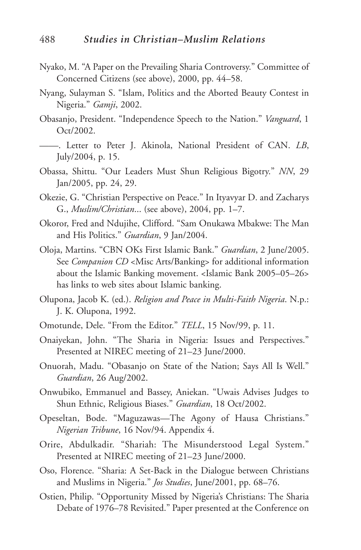- Nyako, M. "A Paper on the Prevailing Sharia Controversy." Committee of Concerned Citizens (see above), 2000, pp. 44–58.
- Nyang, Sulayman S. "Islam, Politics and the Aborted Beauty Contest in Nigeria." *Gamji*, 2002.
- Obasanjo, President. "Independence Speech to the Nation." *Vanguard*, 1 Oct/2002.
- ——. Letter to Peter J. Akinola, National President of CAN. *LB*, July/2004, p. 15.
- Obassa, Shittu. "Our Leaders Must Shun Religious Bigotry." *NN*, 29 Jan/2005, pp. 24, 29.
- Okezie, G. "Christian Perspective on Peace." In Ityavyar D. and Zacharys G., *Muslim/Christian*... (see above), 2004, pp. 1–7.
- Okoror, Fred and Ndujihe, Clifford. "Sam Onukawa Mbakwe: The Man and His Politics." *Guardian*, 9 Jan/2004.
- Oloja, Martins. "CBN OKs First Islamic Bank." *Guardian*, 2 June/2005. See *Companion CD* <Misc Arts/Banking> for additional information about the Islamic Banking movement. <Islamic Bank 2005–05–26> has links to web sites about Islamic banking.
- Olupona, Jacob K. (ed.). *Religion and Peace in Multi-Faith Nigeria*. N.p.: J. K. Olupona, 1992.
- Omotunde, Dele. "From the Editor." *TELL*, 15 Nov/99, p. 11.
- Onaiyekan, John. "The Sharia in Nigeria: Issues and Perspectives." Presented at NIREC meeting of 21–23 June/2000.
- Onuorah, Madu. "Obasanjo on State of the Nation; Says All Is Well." *Guardian*, 26 Aug/2002.
- Onwubiko, Emmanuel and Bassey, Aniekan. "Uwais Advises Judges to Shun Ethnic, Religious Biases." *Guardian*, 18 Oct/2002.
- Opeseltan, Bode. "Maguzawas—The Agony of Hausa Christians." *Nigerian Tribune*, 16 Nov/94. Appendix 4.
- Orire, Abdulkadir. "Shariah: The Misunderstood Legal System." Presented at NIREC meeting of 21–23 June/2000.
- Oso, Florence. "Sharia: A Set-Back in the Dialogue between Christians and Muslims in Nigeria." *Jos Studies*, June/2001, pp. 68–76.
- Ostien, Philip. "Opportunity Missed by Nigeria's Christians: The Sharia Debate of 1976–78 Revisited." Paper presented at the Conference on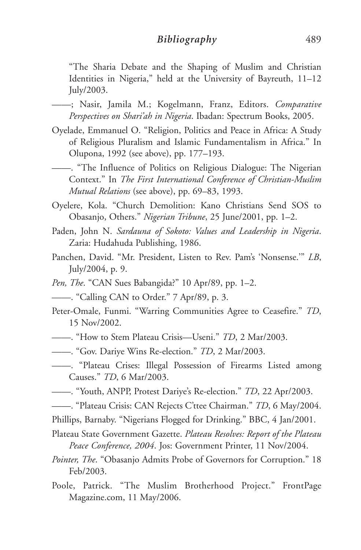"The Sharia Debate and the Shaping of Muslim and Christian Identities in Nigeria," held at the University of Bayreuth, 11–12 July/2003.

- ——; Nasir, Jamila M.; Kogelmann, Franz, Editors. *Comparative Perspectives on Shari'ah in Nigeria*. Ibadan: Spectrum Books, 2005.
- Oyelade, Emmanuel O. "Religion, Politics and Peace in Africa: A Study of Religious Pluralism and Islamic Fundamentalism in Africa." In Olupona, 1992 (see above), pp. 177–193.
- ——. "The Influence of Politics on Religious Dialogue: The Nigerian Context." In *The First International Conference of Christian-Muslim Mutual Relations* (see above), pp. 69–83, 1993.
- Oyelere, Kola. "Church Demolition: Kano Christians Send SOS to Obasanjo, Others." *Nigerian Tribune*, 25 June/2001, pp. 1–2.
- Paden, John N. *Sardauna of Sokoto: Values and Leadership in Nigeria*. Zaria: Hudahuda Publishing, 1986.
- Panchen, David. "Mr. President, Listen to Rev. Pam's 'Nonsense.'" *LB*, July/2004, p. 9.
- *Pen, The*. "CAN Sues Babangida?" 10 Apr/89, pp. 1–2.
- ——. "Calling CAN to Order." 7 Apr/89, p. 3.
- Peter-Omale, Funmi. "Warring Communities Agree to Ceasefire." *TD*, 15 Nov/2002.
- ——. "How to Stem Plateau Crisis—Useni." *TD*, 2 Mar/2003.
- ——. "Gov. Dariye Wins Re-election." *TD*, 2 Mar/2003.
- ——. "Plateau Crises: Illegal Possession of Firearms Listed among Causes." *TD*, 6 Mar/2003.
- ——. "Youth, ANPP, Protest Dariye's Re-election." *TD*, 22 Apr/2003.
- ——. "Plateau Crisis: CAN Rejects C'ttee Chairman." *TD*, 6 May/2004.
- Phillips, Barnaby. "Nigerians Flogged for Drinking." BBC, 4 Jan/2001.
- Plateau State Government Gazette. *Plateau Resolves: Report of the Plateau Peace Conference, 2004*. Jos: Government Printer, 11 Nov/2004.
- *Pointer, The*. "Obasanjo Admits Probe of Governors for Corruption." 18 Feb/2003.
- Poole, Patrick. "The Muslim Brotherhood Project." FrontPage Magazine.com, 11 May/2006.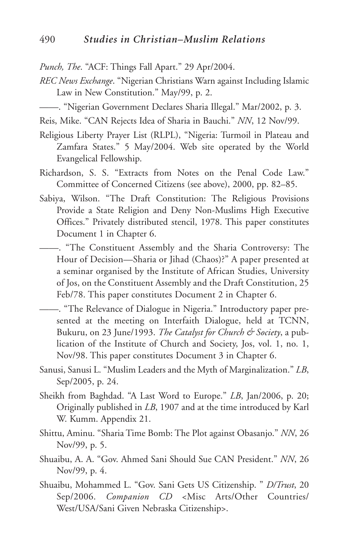*Punch, The*. "ACF: Things Fall Apart." 29 Apr/2004.

*REC News Exchange*. "Nigerian Christians Warn against Including Islamic Law in New Constitution." May/99, p. 2.

——. "Nigerian Government Declares Sharia Illegal." Mar/2002, p. 3.

Reis, Mike. "CAN Rejects Idea of Sharia in Bauchi." *NN*, 12 Nov/99.

- Religious Liberty Prayer List (RLPL), "Nigeria: Turmoil in Plateau and Zamfara States." 5 May/2004. Web site operated by the World Evangelical Fellowship.
- Richardson, S. S. "Extracts from Notes on the Penal Code Law." Committee of Concerned Citizens (see above), 2000, pp. 82–85.
- Sabiya, Wilson. "The Draft Constitution: The Religious Provisions Provide a State Religion and Deny Non-Muslims High Executive Offices." Privately distributed stencil, 1978. This paper constitutes Document 1 in Chapter 6.
- ——. "The Constituent Assembly and the Sharia Controversy: The Hour of Decision—Sharia or Jihad (Chaos)?" A paper presented at a seminar organised by the Institute of African Studies, University of Jos, on the Constituent Assembly and the Draft Constitution, 25 Feb/78. This paper constitutes Document 2 in Chapter 6.
- ——. "The Relevance of Dialogue in Nigeria." Introductory paper presented at the meeting on Interfaith Dialogue, held at TCNN, Bukuru, on 23 June/1993. *The Catalyst for Church & Society*, a publication of the Institute of Church and Society, Jos, vol. 1, no. 1, Nov/98. This paper constitutes Document 3 in Chapter 6.
- Sanusi, Sanusi L. "Muslim Leaders and the Myth of Marginalization." *LB*, Sep/2005, p. 24.
- Sheikh from Baghdad. "A Last Word to Europe." *LB*, Jan/2006, p. 20; Originally published in *LB*, 1907 and at the time introduced by Karl W. Kumm. Appendix 21.
- Shittu, Aminu. "Sharia Time Bomb: The Plot against Obasanjo." *NN*, 26 Nov/99, p. 5.
- Shuaibu, A. A. "Gov. Ahmed Sani Should Sue CAN President." *NN*, 26 Nov/99, p. 4.
- Shuaibu, Mohammed L. "Gov. Sani Gets US Citizenship. " *D/Trust*, 20 Sep/2006. *Companion CD* <Misc Arts/Other Countries/ West/USA/Sani Given Nebraska Citizenship>.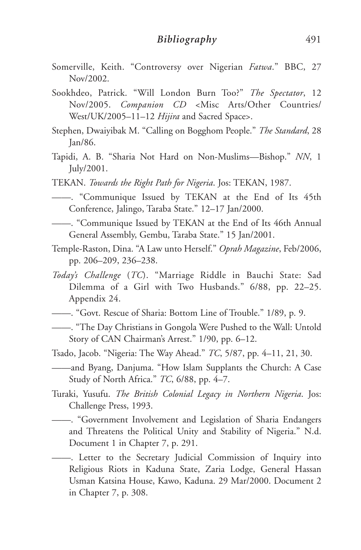- Somerville, Keith. "Controversy over Nigerian *Fatwa*." BBC, 27 Nov/2002.
- Sookhdeo, Patrick. "Will London Burn Too?" *The Spectator*, 12 Nov/2005. *Companion CD* <Misc Arts/Other Countries/ West/UK/2005–11–12 *Hijira* and Sacred Space>.
- Stephen, Dwaiyibak M. "Calling on Bogghom People." *The Standard*, 28 Jan/86.
- Tapidi, A. B. "Sharia Not Hard on Non-Muslims—Bishop." *NN*, 1 July/2001.
- TEKAN. *Towards the Right Path for Nigeria*. Jos: TEKAN, 1987.
- ——. "Communique Issued by TEKAN at the End of Its 45th Conference, Jalingo, Taraba State." 12–17 Jan/2000.
- ——. "Communique Issued by TEKAN at the End of Its 46th Annual General Assembly, Gembu, Taraba State." 15 Jan/2001.
- Temple-Raston, Dina. "A Law unto Herself." *Oprah Magazine*, Feb/2006, pp. 206–209, 236–238.
- *Today's Challenge* (*TC*). "Marriage Riddle in Bauchi State: Sad Dilemma of a Girl with Two Husbands." 6/88, pp. 22–25. Appendix 24.
- ——. "Govt. Rescue of Sharia: Bottom Line of Trouble." 1/89, p. 9.
- ——. "The Day Christians in Gongola Were Pushed to the Wall: Untold Story of CAN Chairman's Arrest." 1/90, pp. 6–12.
- Tsado, Jacob. "Nigeria: The Way Ahead." *TC*, 5/87, pp. 4–11, 21, 30.
- ——and Byang, Danjuma. "How Islam Supplants the Church: A Case Study of North Africa." *TC*, 6/88, pp. 4–7.
- Turaki, Yusufu. *The British Colonial Legacy in Northern Nigeria*. Jos: Challenge Press, 1993.
- ——. "Government Involvement and Legislation of Sharia Endangers and Threatens the Political Unity and Stability of Nigeria." N.d. Document 1 in Chapter 7, p. 291.
- ——. Letter to the Secretary Judicial Commission of Inquiry into Religious Riots in Kaduna State, Zaria Lodge, General Hassan Usman Katsina House, Kawo, Kaduna. 29 Mar/2000. Document 2 in Chapter 7, p. 308.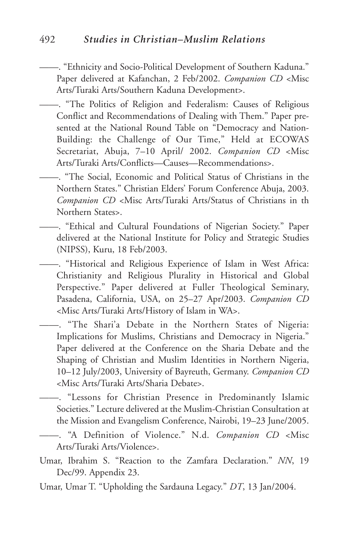## 492 *Studies in Christian–Muslim Relations*

——. "Ethnicity and Socio-Political Development of Southern Kaduna." Paper delivered at Kafanchan, 2 Feb/2002. *Companion CD* <Misc Arts/Turaki Arts/Southern Kaduna Development>.

——. "The Politics of Religion and Federalism: Causes of Religious Conflict and Recommendations of Dealing with Them." Paper presented at the National Round Table on "Democracy and Nation-Building: the Challenge of Our Time," Held at ECOWAS Secretariat, Abuja, 7–10 April/ 2002. *Companion CD* <Misc Arts/Turaki Arts/Conflicts—Causes—Recommendations>.

——. "The Social, Economic and Political Status of Christians in the Northern States." Christian Elders' Forum Conference Abuja, 2003. *Companion CD* <Misc Arts/Turaki Arts/Status of Christians in th Northern States>.

——. "Ethical and Cultural Foundations of Nigerian Society." Paper delivered at the National Institute for Policy and Strategic Studies (NIPSS), Kuru, 18 Feb/2003.

- ——. "Historical and Religious Experience of Islam in West Africa: Christianity and Religious Plurality in Historical and Global Perspective." Paper delivered at Fuller Theological Seminary, Pasadena, California, USA, on 25–27 Apr/2003. *Companion CD* <Misc Arts/Turaki Arts/History of Islam in WA>.
- ——. "The Shari'a Debate in the Northern States of Nigeria: Implications for Muslims, Christians and Democracy in Nigeria." Paper delivered at the Conference on the Sharia Debate and the Shaping of Christian and Muslim Identities in Northern Nigeria, 10–12 July/2003, University of Bayreuth, Germany. *Companion CD* <Misc Arts/Turaki Arts/Sharia Debate>.

——. "Lessons for Christian Presence in Predominantly Islamic Societies." Lecture delivered at the Muslim-Christian Consultation at the Mission and Evangelism Conference, Nairobi, 19–23 June/2005.

- ——. "A Definition of Violence." N.d. *Companion CD* <Misc Arts/Turaki Arts/Violence>.
- Umar, Ibrahim S. "Reaction to the Zamfara Declaration." *NN*, 19 Dec/99. Appendix 23.

Umar, Umar T. "Upholding the Sardauna Legacy." *DT*, 13 Jan/2004.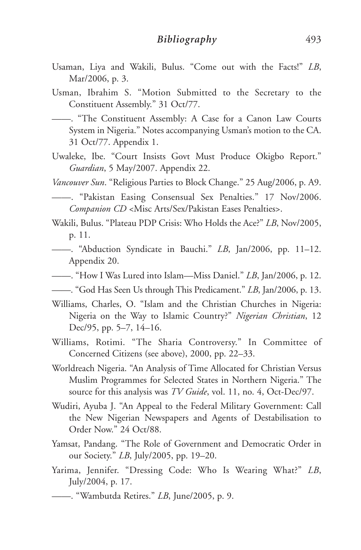- Usaman, Liya and Wakili, Bulus. "Come out with the Facts!" *LB*, Mar/2006, p. 3.
- Usman, Ibrahim S. "Motion Submitted to the Secretary to the Constituent Assembly." 31 Oct/77.

——. "The Constituent Assembly: A Case for a Canon Law Courts System in Nigeria." Notes accompanying Usman's motion to the CA. 31 Oct/77. Appendix 1.

- Uwaleke, Ibe. "Court Insists Govt Must Produce Okigbo Report." *Guardian*, 5 May/2007. Appendix 22.
- *Vancouver Sun*. "Religious Parties to Block Change." 25 Aug/2006, p. A9.
- ——. "Pakistan Easing Consensual Sex Penalties." 17 Nov/2006. *Companion CD* <Misc Arts/Sex/Pakistan Eases Penalties>.
- Wakili, Bulus. "Plateau PDP Crisis: Who Holds the Ace?" *LB*, Nov/2005, p. 11.
	- ——. "Abduction Syndicate in Bauchi." *LB*, Jan/2006, pp. 11–12. Appendix 20.
- ——. "How I Was Lured into Islam—Miss Daniel." *LB*, Jan/2006, p. 12.
- ——. "God Has Seen Us through This Predicament." *LB*, Jan/2006, p. 13.
- Williams, Charles, O. "Islam and the Christian Churches in Nigeria: Nigeria on the Way to Islamic Country?" *Nigerian Christian*, 12 Dec/95, pp. 5–7, 14–16.
- Williams, Rotimi. "The Sharia Controversy." In Committee of Concerned Citizens (see above), 2000, pp. 22–33.
- Worldreach Nigeria. "An Analysis of Time Allocated for Christian Versus Muslim Programmes for Selected States in Northern Nigeria." The source for this analysis was *TV Guide*, vol. 11, no. 4, Oct-Dec/97.
- Wudiri, Ayuba J. "An Appeal to the Federal Military Government: Call the New Nigerian Newspapers and Agents of Destabilisation to Order Now." 24 Oct/88.
- Yamsat, Pandang. "The Role of Government and Democratic Order in our Society." *LB*, July/2005, pp. 19–20.
- Yarima, Jennifer. "Dressing Code: Who Is Wearing What?" *LB*, July/2004, p. 17.

<sup>——. &</sup>quot;Wambutda Retires." *LB*, June/2005, p. 9.